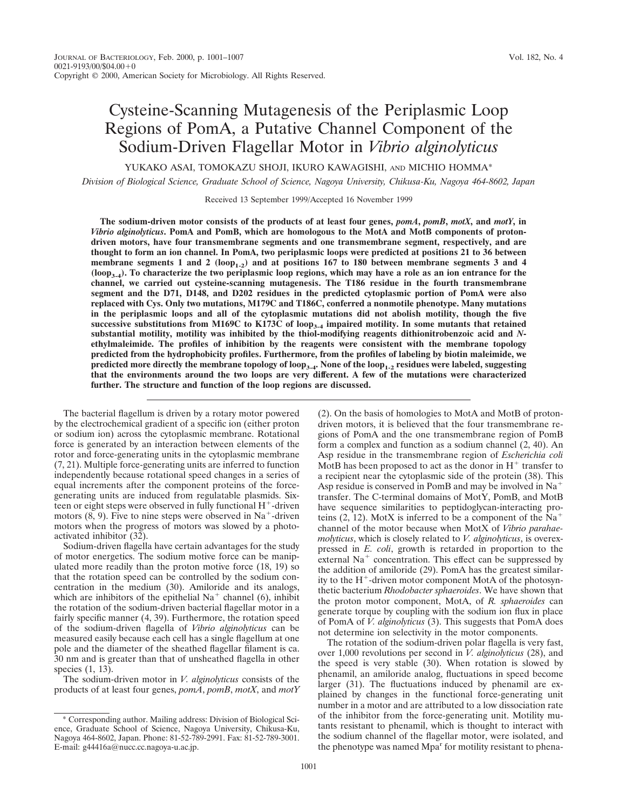YUKAKO ASAI, TOMOKAZU SHOJI, IKURO KAWAGISHI, AND MICHIO HOMMA\*

*Division of Biological Science, Graduate School of Science, Nagoya University, Chikusa-Ku, Nagoya 464-8602, Japan*

Received 13 September 1999/Accepted 16 November 1999

**The sodium-driven motor consists of the products of at least four genes,** *pomA***,** *pomB***,** *motX***, and** *motY***, in** *Vibrio alginolyticus***. PomA and PomB, which are homologous to the MotA and MotB components of protondriven motors, have four transmembrane segments and one transmembrane segment, respectively, and are thought to form an ion channel. In PomA, two periplasmic loops were predicted at positions 21 to 36 between** membrane segments 1 and 2  $(log_{p_{1-2}})$  and at positions 167 to 180 between membrane segments 3 and 4 **(loop3-4). To characterize the two periplasmic loop regions, which may have a role as an ion entrance for the channel, we carried out cysteine-scanning mutagenesis. The T186 residue in the fourth transmembrane segment and the D71, D148, and D202 residues in the predicted cytoplasmic portion of PomA were also replaced with Cys. Only two mutations, M179C and T186C, conferred a nonmotile phenotype. Many mutations in the periplasmic loops and all of the cytoplasmic mutations did not abolish motility, though the five successive substitutions from M169C to K173C of loop3-4 impaired motility. In some mutants that retained substantial motility, motility was inhibited by the thiol-modifying reagents dithionitrobenzoic acid and** *N***ethylmaleimide. The profiles of inhibition by the reagents were consistent with the membrane topology predicted from the hydrophobicity profiles. Furthermore, from the profiles of labeling by biotin maleimide, we predicted more directly the membrane topology of loop3-4. None of the loop1-2 residues were labeled, suggesting that the environments around the two loops are very different. A few of the mutations were characterized further. The structure and function of the loop regions are discussed.**

The bacterial flagellum is driven by a rotary motor powered by the electrochemical gradient of a specific ion (either proton or sodium ion) across the cytoplasmic membrane. Rotational force is generated by an interaction between elements of the rotor and force-generating units in the cytoplasmic membrane (7, 21). Multiple force-generating units are inferred to function independently because rotational speed changes in a series of equal increments after the component proteins of the forcegenerating units are induced from regulatable plasmids. Sixteen or eight steps were observed in fully functional  $H^+$ -driven motors  $(8, 9)$ . Five to nine steps were observed in Na<sup>+</sup>-driven motors when the progress of motors was slowed by a photoactivated inhibitor (32).

Sodium-driven flagella have certain advantages for the study of motor energetics. The sodium motive force can be manipulated more readily than the proton motive force (18, 19) so that the rotation speed can be controlled by the sodium concentration in the medium (30). Amiloride and its analogs, which are inhibitors of the epithelial  $Na<sup>+</sup>$  channel (6), inhibit the rotation of the sodium-driven bacterial flagellar motor in a fairly specific manner (4, 39). Furthermore, the rotation speed of the sodium-driven flagella of *Vibrio alginolyticus* can be measured easily because each cell has a single flagellum at one pole and the diameter of the sheathed flagellar filament is ca. 30 nm and is greater than that of unsheathed flagella in other species (1, 13).

The sodium-driven motor in *V. alginolyticus* consists of the products of at least four genes, *pomA*, *pomB*, *motX*, and *motY* (2). On the basis of homologies to MotA and MotB of protondriven motors, it is believed that the four transmembrane regions of PomA and the one transmembrane region of PomB form a complex and function as a sodium channel (2, 40). An Asp residue in the transmembrane region of *Escherichia coli* MotB has been proposed to act as the donor in  $H^+$  transfer to a recipient near the cytoplasmic side of the protein (38). This Asp residue is conserved in PomB and may be involved in  $Na<sup>+</sup>$ transfer. The C-terminal domains of MotY, PomB, and MotB have sequence similarities to peptidoglycan-interacting proteins (2, 12). MotX is inferred to be a component of the  $Na<sup>+</sup>$ channel of the motor because when MotX of *Vibrio parahaemolyticus*, which is closely related to *V. alginolyticus*, is overexpressed in *E. coli*, growth is retarded in proportion to the external  $Na<sup>+</sup>$  concentration. This effect can be suppressed by the addition of amiloride (29). PomA has the greatest similarity to the  $H^+$ -driven motor component MotA of the photosynthetic bacterium *Rhodobacter sphaeroides*. We have shown that the proton motor component, MotA, of *R. sphaeroides* can generate torque by coupling with the sodium ion flux in place of PomA of *V. alginolyticus* (3). This suggests that PomA does not determine ion selectivity in the motor components.

The rotation of the sodium-driven polar flagella is very fast, over 1,000 revolutions per second in *V. alginolyticus* (28), and the speed is very stable (30). When rotation is slowed by phenamil, an amiloride analog, fluctuations in speed become larger (31). The fluctuations induced by phenamil are explained by changes in the functional force-generating unit number in a motor and are attributed to a low dissociation rate of the inhibitor from the force-generating unit. Motility mutants resistant to phenamil, which is thought to interact with the sodium channel of the flagellar motor, were isolated, and the phenotype was named Mpa<sup>r</sup> for motility resistant to phena-

<sup>\*</sup> Corresponding author. Mailing address: Division of Biological Science, Graduate School of Science, Nagoya University, Chikusa-Ku, Nagoya 464-8602, Japan. Phone: 81-52-789-2991. Fax: 81-52-789-3001. E-mail: g44416a@nucc.cc.nagoya-u.ac.jp.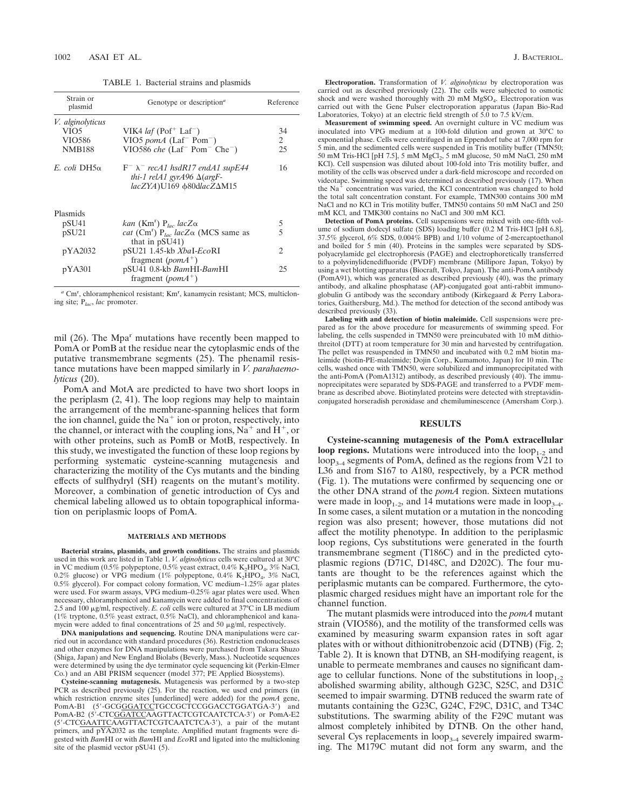TABLE 1. Bacterial strains and plasmids

| Strain or<br>plasmid | Genotype or description <sup>a</sup>                                                                                | Reference |
|----------------------|---------------------------------------------------------------------------------------------------------------------|-----------|
| V. alginolyticus     |                                                                                                                     |           |
| VIO <sub>5</sub>     | VIK4 <i>laf</i> (Pof <sup>+</sup> Laf <sup>-</sup> )                                                                | 34        |
| VIO586               | VIO5 pom $A$ (Laf <sup>-</sup> Pom <sup>-</sup> )                                                                   | 2         |
| <b>NMB188</b>        | VIO586 che (Laf <sup>-</sup> Pom <sup>-</sup> Che <sup>-</sup> )                                                    | 25        |
| E. coli DH5 $\alpha$ | $F^ \lambda^-$ recA1 hsdR17 endA1 supE44<br>thi-1 relA1 gyrA96 $\Delta$ (argF-<br>lacZYA)U169 %80dlacZ $\Delta M15$ | 16        |
| Plasmids             |                                                                                                                     |           |
| pSU41                | kan (Km <sup>r</sup> ) P <sub>lac</sub> lacZ $\alpha$                                                               | 5         |
| pSU21                | <i>cat</i> (Cm <sup>r</sup> ) $P_{lac}$ <i>lac</i> Z $\alpha$ (MCS same as<br>that in $pSU(41)$                     | 5         |
| pYA2032              | pSU21 1.45-kb XbaI-EcoRI<br>fragment ( $pomA^+$ )                                                                   | 2         |
| pYA301               | pSU41 0.8-kb BamHI-BamHI<br>fragment (pom $A^+$ )                                                                   | 25        |

a Cm<sup>r</sup>, chloramphenicol resistant; Km<sup>r</sup>, kanamycin resistant; MCS, multicloning site; P*lac*, *lac* promoter.

mil  $(26)$ . The Mpa<sup>r</sup> mutations have recently been mapped to PomA or PomB at the residue near the cytoplasmic ends of the putative transmembrane segments (25). The phenamil resistance mutations have been mapped similarly in *V. parahaemolyticus* (20).

PomA and MotA are predicted to have two short loops in the periplasm (2, 41). The loop regions may help to maintain the arrangement of the membrane-spanning helices that form the ion channel, guide the  $Na<sup>+</sup>$  ion or proton, respectively, into the channel, or interact with the coupling ions,  $Na^+$  and  $H^+$ , or with other proteins, such as PomB or MotB, respectively. In this study, we investigated the function of these loop regions by performing systematic cysteine-scanning mutagenesis and characterizing the motility of the Cys mutants and the binding effects of sulfhydryl (SH) reagents on the mutant's motility. Moreover, a combination of genetic introduction of Cys and chemical labeling allowed us to obtain topographical information on periplasmic loops of PomA.

### **MATERIALS AND METHODS**

**Bacterial strains, plasmids, and growth conditions.** The strains and plasmids used in this work are listed in Table 1. *V. alginolyticus* cells were cultured at 30°C in VC medium (0.5% polypeptone, 0.5% yeast extract, 0.4% K<sub>2</sub>HPO<sub>4</sub>, 3% NaCl, 0.2% glucose) or VPG medium (1% polypeptone, 0.4%  $K_2\overline{H}PO_4$ , 3% NaCl, 0.5% glycerol). For compact colony formation, VC medium–1.25% agar plates were used. For swarm assays, VPG medium–0.25% agar plates were used. When necessary, chloramphenicol and kanamycin were added to final concentrations of 2.5 and 100 µg/ml, respectively. *E. coli* cells were cultured at 37°C in LB medium (1% tryptone, 0.5% yeast extract, 0.5% NaCl), and chloramphenicol and kanamycin were added to final concentrations of  $25$  and  $50 \mu\text{g/ml}$ , respectively.

**DNA manipulations and sequencing.** Routine DNA manipulations were carried out in accordance with standard procedures (36). Restriction endonucleases and other enzymes for DNA manipulations were purchased from Takara Shuzo (Shiga, Japan) and New England Biolabs (Beverly, Mass.). Nucleotide sequences were determined by using the dye terminator cycle sequencing kit (Perkin-Elmer Co.) and an ABI PRISM sequencer (model 377; PE Applied Biosystems).

**Cysteine-scanning mutagenesis.** Mutagenesis was performed by a two-step PCR as described previously (25). For the reaction, we used end primers (in which restriction enzyme sites [underlined] were added) for the *pomA* gene,<br>PomA-B1 (5'-GCG<u>GGATCC</u>TGCCGCTCCGGACCTGGATGA-3') and PomA-B2 (5'-CTCGGATCCAAGTTACTCGTCAATCTCA-3') or PomA-E2 (5'-CTCGAATTCAAGTTACTCGTCAATCTCA-3'), a pair of the mutant primers, and pYA2032 as the template. Amplified mutant fragments were digested with *Bam*HI or with *Bam*HI and *Eco*RI and ligated into the multicloning site of the plasmid vector pSU41 (5).

**Electroporation.** Transformation of *V. alginolyticus* by electroporation was carried out as described previously (22). The cells were subjected to osmotic shock and were washed thoroughly with 20 mM MgSO<sub>4</sub>. Electroporation was carried out with the Gene Pulser electroporation apparatus (Japan Bio-Rad Laboratories, Tokyo) at an electric field strength of  $5.0$  to 7.5 kV/cm.

**Measurement of swimming speed.** An overnight culture in VC medium was inoculated into VPG medium at a 100-fold dilution and grown at 30°C to exponential phase. Cells were centrifuged in an Eppendorf tube at 7,000 rpm for 5 min, and the sedimented cells were suspended in Tris motility buffer (TMN50; 50 mM Tris-HCl [pH 7.5], 5 mM MgCl<sub>2</sub>, 5 mM glucose, 50 mM NaCl, 250 mM KCl). Cell suspension was diluted about 100-fold into Tris motility buffer, and motility of the cells was observed under a dark-field microscope and recorded on videotape. Swimming speed was determined as described previously (17). When the  $Na<sup>+</sup>$  concentration was varied, the KCl concentration was changed to hold the total salt concentration constant. For example, TMN300 contains 300 mM NaCl and no KCl in Tris motility buffer, TMN50 contains 50 mM NaCl and 250 mM KCl, and TMK300 contains no NaCl and 300 mM KCl.

**Detection of PomA proteins.** Cell suspensions were mixed with one-fifth volume of sodium dodecyl sulfate (SDS) loading buffer (0.2 M Tris-HCl [pH 6.8], 37.5% glycerol, 6% SDS, 0.004% BPB) and 1/10 volume of 2-mercaptoethanol and boiled for 5 min (40). Proteins in the samples were separated by SDSpolyacrylamide gel electrophoresis (PAGE) and electrophoretically transferred to a polyvinylidenedifluoride (PVDF) membrane (Millipore Japan, Tokyo) by using a wet blotting apparatus (Biocraft, Tokyo, Japan). The anti-PomA antibody (PomA91), which was generated as described previously (40), was the primary antibody, and alkaline phosphatase (AP)-conjugated goat anti-rabbit immunoglobulin G antibody was the secondary antibody (Kirkegaard & Perry Laboratories, Gaithersburg, Md.). The method for detection of the second antibody was described previously (33).

**Labeling with and detection of biotin maleimide.** Cell suspensions were prepared as for the above procedure for measurements of swimming speed. For labeling, the cells suspended in TMN50 were preincubated with  $10 \text{ mM}$  dithiothreitol (DTT) at room temperature for 30 min and harvested by centrifugation. The pellet was resuspended in TMN50 and incubated with 0.2 mM biotin maleimide (biotin-PE-maleimide; Dojin Corp., Kumamoto, Japan) for 10 min. The cells, washed once with TMN50, were solubilized and immunoprecipitated with the anti-PomA (PomA1312) antibody, as described previously (40). The immunoprecipitates were separated by SDS-PAGE and transferred to a PVDF membrane as described above. Biotinylated proteins were detected with streptavidinconjugated horseradish peroxidase and chemiluminescence (Amersham Corp.).

# **RESULTS**

**Cysteine-scanning mutagenesis of the PomA extracellular loop regions.** Mutations were introduced into the  $loop_{1-2}$  and  $loop_{3-4}$  segments of PomA, defined as the regions from V21 to L36 and from S167 to A180, respectively, by a PCR method (Fig. 1). The mutations were confirmed by sequencing one or the other DNA strand of the *pomA* region. Sixteen mutations were made in  $loop_{1-2}$ , and 14 mutations were made in  $loop_{3-4}$ . In some cases, a silent mutation or a mutation in the noncoding region was also present; however, those mutations did not affect the motility phenotype. In addition to the periplasmic loop regions, Cys substitutions were generated in the fourth transmembrane segment (T186C) and in the predicted cytoplasmic regions (D71C, D148C, and D202C). The four mutants are thought to be the references against which the periplasmic mutants can be compared. Furthermore, the cytoplasmic charged residues might have an important role for the channel function.

The mutant plasmids were introduced into the *pomA* mutant strain (VIO586), and the motility of the transformed cells was examined by measuring swarm expansion rates in soft agar plates with or without dithionitrobenzoic acid (DTNB) (Fig. 2; Table 2). It is known that DTNB, an SH-modifying reagent, is unable to permeate membranes and causes no significant damage to cellular functions. None of the substitutions in  $loop_{1-2}$ abolished swarming ability, although G23C, S25C, and D31C seemed to impair swarming. DTNB reduced the swarm rate of mutants containing the G23C, G24C, F29C, D31C, and T34C substitutions. The swarming ability of the F29C mutant was almost completely inhibited by DTNB. On the other hand, several Cys replacements in  $loop_{3-4}$  severely impaired swarming. The M179C mutant did not form any swarm, and the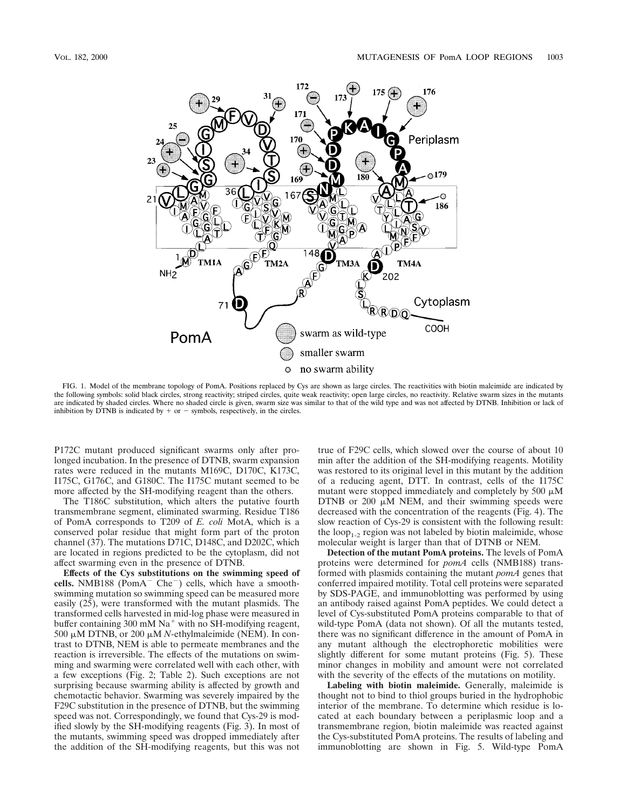

FIG. 1. Model of the membrane topology of PomA. Positions replaced by Cys are shown as large circles. The reactivities with biotin maleimide are indicated by the following symbols: solid black circles, strong reactivity; striped circles, quite weak reactivity; open large circles, no reactivity. Relative swarm sizes in the mutants are indicated by shaded circles. Where no shaded circle is given, swarm size was similar to that of the wild type and was not affected by DTNB. Inhibition or lack of inhibition by DTNB is indicated by  $+$  or  $-$  symbols, respectively, in the circles.

P172C mutant produced significant swarms only after prolonged incubation. In the presence of DTNB, swarm expansion rates were reduced in the mutants M169C, D170C, K173C, I175C, G176C, and G180C. The I175C mutant seemed to be more affected by the SH-modifying reagent than the others.

The T186C substitution, which alters the putative fourth transmembrane segment, eliminated swarming. Residue T186 of PomA corresponds to T209 of *E. coli* MotA, which is a conserved polar residue that might form part of the proton channel (37). The mutations D71C, D148C, and D202C, which are located in regions predicted to be the cytoplasm, did not affect swarming even in the presence of DTNB.

**Effects of the Cys substitutions on the swimming speed of** cells. NMB188 (Pom $A^-$  Che<sup>-</sup>) cells, which have a smoothswimming mutation so swimming speed can be measured more easily (25), were transformed with the mutant plasmids. The transformed cells harvested in mid-log phase were measured in buffer containing 300 mM  $Na<sup>+</sup>$  with no SH-modifying reagent, 500  $\mu$ M DTNB, or 200  $\mu$ M *N*-ethylmaleimide (NEM). In contrast to DTNB, NEM is able to permeate membranes and the reaction is irreversible. The effects of the mutations on swimming and swarming were correlated well with each other, with a few exceptions (Fig. 2; Table 2). Such exceptions are not surprising because swarming ability is affected by growth and chemotactic behavior. Swarming was severely impaired by the F29C substitution in the presence of DTNB, but the swimming speed was not. Correspondingly, we found that Cys-29 is modified slowly by the SH-modifying reagents (Fig. 3). In most of the mutants, swimming speed was dropped immediately after the addition of the SH-modifying reagents, but this was not

true of F29C cells, which slowed over the course of about 10 min after the addition of the SH-modifying reagents. Motility was restored to its original level in this mutant by the addition of a reducing agent, DTT. In contrast, cells of the I175C mutant were stopped immediately and completely by 500  $\mu$ M DTNB or  $200 \mu \text{M}$  NEM, and their swimming speeds were decreased with the concentration of the reagents (Fig. 4). The slow reaction of Cys-29 is consistent with the following result: the  $loop_{1-2}$  region was not labeled by biotin maleimide, whose molecular weight is larger than that of DTNB or NEM.

**Detection of the mutant PomA proteins.** The levels of PomA proteins were determined for *pomA* cells (NMB188) transformed with plasmids containing the mutant *pomA* genes that conferred impaired motility. Total cell proteins were separated by SDS-PAGE, and immunoblotting was performed by using an antibody raised against PomA peptides. We could detect a level of Cys-substituted PomA proteins comparable to that of wild-type PomA (data not shown). Of all the mutants tested, there was no significant difference in the amount of PomA in any mutant although the electrophoretic mobilities were slightly different for some mutant proteins (Fig. 5). These minor changes in mobility and amount were not correlated with the severity of the effects of the mutations on motility.

**Labeling with biotin maleimide.** Generally, maleimide is thought not to bind to thiol groups buried in the hydrophobic interior of the membrane. To determine which residue is located at each boundary between a periplasmic loop and a transmembrane region, biotin maleimide was reacted against the Cys-substituted PomA proteins. The results of labeling and immunoblotting are shown in Fig. 5. Wild-type PomA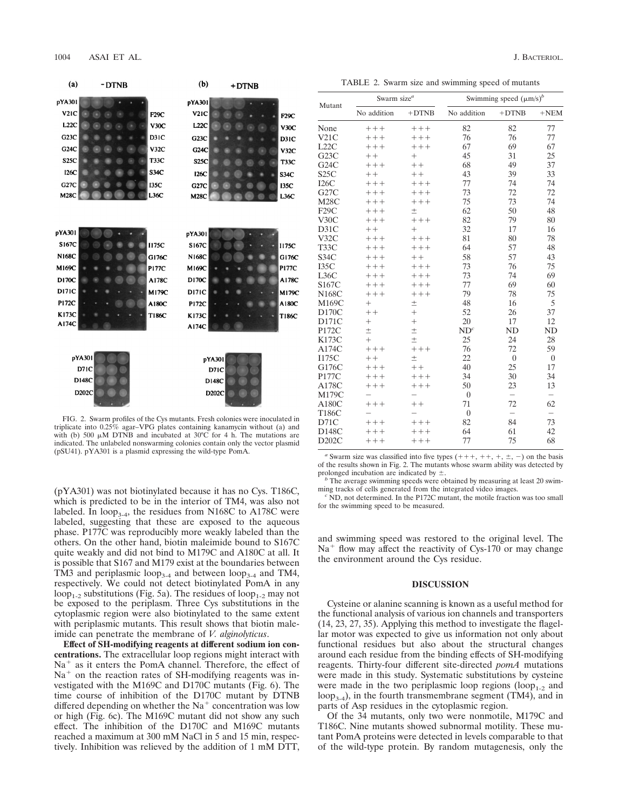$-DTNB$ 

 $(a)$ 

|  |  |  |  |  |  | TABLE 2. Swarm size and swimming speed of mutants |
|--|--|--|--|--|--|---------------------------------------------------|
|--|--|--|--|--|--|---------------------------------------------------|

| pYA301       |        |  |  |              | pYA301             |        |  |  |              |
|--------------|--------|--|--|--------------|--------------------|--------|--|--|--------------|
| V2IC         |        |  |  | F29C         | <b>V21C</b>        |        |  |  | F29C         |
| L22C         |        |  |  | V30C         | L22C               |        |  |  | V30C         |
| G23C         |        |  |  | D31C         | G23C               |        |  |  | D31C         |
| G24C         |        |  |  | V32C         | G24C               |        |  |  | V32C         |
| <b>S25C</b>  |        |  |  | <b>T33C</b>  | <b>S25C</b>        |        |  |  | <b>T33C</b>  |
| <b>I26C</b>  |        |  |  | S34C         | <b>126C</b>        |        |  |  | <b>S34C</b>  |
| G27C         |        |  |  | 135C         | G27C               |        |  |  | 135C         |
| <b>M28C</b>  |        |  |  | L36C         | <b>M28C</b>        |        |  |  | L36C         |
|              |        |  |  |              |                    |        |  |  |              |
| pYA301       |        |  |  |              | pYA301             |        |  |  |              |
| S167C        |        |  |  | <b>I175C</b> | <b>S167C</b>       |        |  |  | <b>I175C</b> |
| <b>N168C</b> |        |  |  | G176C        | <b>N168C</b>       |        |  |  | G1760        |
| M169C        |        |  |  | <b>P177C</b> | M169C              |        |  |  | <b>P177C</b> |
| D170C        |        |  |  | A178C        | D170C              |        |  |  | A1780        |
| <b>D171C</b> |        |  |  | M179C        | D <sub>171</sub> C |        |  |  | M1790        |
| <b>P172C</b> |        |  |  | A180C        | <b>P172C</b>       |        |  |  | A180C        |
| K173C        |        |  |  | <b>T186C</b> | <b>K173C</b>       |        |  |  | T186C        |
| A174C        |        |  |  |              | A174C              |        |  |  |              |
|              |        |  |  |              |                    |        |  |  |              |
|              | pYA301 |  |  |              |                    | pYA301 |  |  |              |
|              | D71C   |  |  |              |                    | D71C   |  |  |              |
|              | D148C  |  |  |              |                    | D148C  |  |  |              |
|              | D202C  |  |  |              |                    | DODOC  |  |  |              |

 $(b)$ 

 $+DTNR$ 

FIG. 2. Swarm profiles of the Cys mutants. Fresh colonies were inoculated in triplicate into 0.25% agar–VPG plates containing kanamycin without (a) and with (b) 500  $\mu$ M DTNB and incubated at 30°C for 4 h. The mutations are indicated. The unlabeled nonswarming colonies contain only the vector plasmid (pSU41). pYA301 is a plasmid expressing the wild-type PomA.

(pYA301) was not biotinylated because it has no Cys. T186C, which is predicted to be in the interior of TM4, was also not labeled. In loop<sub>3-4</sub>, the residues from N168C to A178C were labeled, suggesting that these are exposed to the aqueous phase. P177C was reproducibly more weakly labeled than the others. On the other hand, biotin maleimide bound to S167C quite weakly and did not bind to M179C and A180C at all. It is possible that S167 and M179 exist at the boundaries between TM3 and periplasmic loop<sub>3-4</sub> and between loop<sub>3-4</sub> and TM4, respectively. We could not detect biotinylated PomA in any loop<sub>1-2</sub> substitutions (Fig. 5a). The residues of loop<sub>1-2</sub> may not be exposed to the periplasm. Three Cys substitutions in the cytoplasmic region were also biotinylated to the same extent with periplasmic mutants. This result shows that biotin maleimide can penetrate the membrane of *V. alginolyticus*.

**Effect of SH-modifying reagents at different sodium ion concentrations.** The extracellular loop regions might interact with  $Na<sup>+</sup>$  as it enters the PomA channel. Therefore, the effect of  $Na<sup>+</sup>$  on the reaction rates of SH-modifying reagents was investigated with the M169C and D170C mutants (Fig. 6). The time course of inhibition of the D170C mutant by DTNB differed depending on whether the  $Na<sup>+</sup>$  concentration was low or high (Fig. 6c). The M169C mutant did not show any such effect. The inhibition of the D170C and M169C mutants reached a maximum at 300 mM NaCl in 5 and 15 min, respectively. Inhibition was relieved by the addition of 1 mM DTT,

| Mutant       | Swarm size $^a$ |         | Swimming speed $(\mu m/s)^b$ |                          |                          |  |  |
|--------------|-----------------|---------|------------------------------|--------------------------|--------------------------|--|--|
|              | No addition     | $+DTNB$ | No addition                  | $+DTNB$                  | $+NEM$                   |  |  |
| None         | $++++$          | $++++$  | 82                           | 82                       | 77                       |  |  |
| V21C         | $+++$           | $+++$   | 76                           | 76                       | 77                       |  |  |
| L22C         | $+++$           | $+++$   | 67                           | 69                       | 67                       |  |  |
| G23C         | $++$            | $^{+}$  | 45                           | 31                       | 25                       |  |  |
| G24C         | $+++$           | $++$    | 68                           | 49                       | 37                       |  |  |
| S25C         | $++$            | $++$    | 43                           | 39                       | 33                       |  |  |
| I26C         | $+ + +$         | $+++$   | 77                           | 74                       | 74                       |  |  |
| G27C         | $+++$           | $+++$   | 73                           | 72                       | 72                       |  |  |
| M28C         | $+++$           | $++++$  | 75                           | 73                       | 74                       |  |  |
| F29C         | $+++$           | $\pm$   | 62                           | 50                       | 48                       |  |  |
| V30C         | $+++$           | $++++$  | 82                           | 79                       | 80                       |  |  |
| D31C         | $++$            | $^{+}$  | 32                           | 17                       | 16                       |  |  |
| V32C         | $+++$           | $++++$  | 81                           | 80                       | 78                       |  |  |
| T33C         | $++++$          | $++++$  | 64                           | 57                       | 48                       |  |  |
| S34C         | $+++$           | $++$    | 58                           | 57                       | 43                       |  |  |
| <b>I35C</b>  | $+++$           | $++++$  | 73                           | 76                       | 75                       |  |  |
| L36C         | $+++$           | $+++$   | 73                           | 74                       | 69                       |  |  |
| S167C        | $+++$           | $+++$   | 77                           | 69                       | 60                       |  |  |
| <b>N168C</b> | $++++$          | $++++$  | 79                           | 78                       | 75                       |  |  |
| M169C        | $^{+}$          | $\pm$   | 48                           | 16                       | 5                        |  |  |
| D170C        | $++$            | $^{+}$  | 52                           | 26                       | 37                       |  |  |
| D171C        | $^{+}$          | $^{+}$  | 20                           | 17                       | 12                       |  |  |
| P172C        | $\pm$           | $\pm$   | ND <sup>c</sup>              | N <sub>D</sub>           | N <sub>D</sub>           |  |  |
| <b>K173C</b> | $^{+}$          | $\pm$   | 25                           | 24                       | 28                       |  |  |
| A174C        | $++++$          | $+++$   | 76                           | 72                       | 59                       |  |  |
| <b>I175C</b> | $++$            | $\pm$   | 22                           | $\overline{0}$           | $\overline{0}$           |  |  |
| G176C        | $+++$           | $++$    | 40                           | 25                       | 17                       |  |  |
| P177C        | $+++$           | $++++$  | 34                           | 30                       | 34                       |  |  |
| A178C        | $++++$          | $++ +$  | 50                           | 23                       | 13                       |  |  |
| M179C        |                 |         | $\overline{0}$               | $\overline{a}$           | $\overline{\phantom{0}}$ |  |  |
| A180C        | $++++$          | $++$    | 71                           | 72                       | 62                       |  |  |
| T186C        |                 |         | $\overline{0}$               | $\overline{\phantom{0}}$ | $\overline{\phantom{0}}$ |  |  |
| D71C         | $+++$           | $+++$   | 82                           | 84                       | 73                       |  |  |
| D148C        | $+++$           | $+++$   | 64                           | 61                       | 42                       |  |  |
| D202C        | $++++$          | $++++$  | 77                           | 75                       | 68                       |  |  |

<sup>*a*</sup> Swarm size was classified into five types  $(+++, ++, +, \pm, -)$  on the basis of the results shown in Fig. 2. The mutants whose swarm ability was detected by prolonged incubation are indicated by  $\pm$ .<br><sup>*b*</sup> The average swimming speeds were obtained by measuring at least 20 swim-

ming tracks of cells generated from the integrated video images. *<sup>c</sup>* ND, not determined. In the P172C mutant, the motile fraction was too small

for the swimming speed to be measured.

and swimming speed was restored to the original level. The  $Na<sup>+</sup>$  flow may affect the reactivity of Cys-170 or may change the environment around the Cys residue.

### **DISCUSSION**

Cysteine or alanine scanning is known as a useful method for the functional analysis of various ion channels and transporters (14, 23, 27, 35). Applying this method to investigate the flagellar motor was expected to give us information not only about functional residues but also about the structural changes around each residue from the binding effects of SH-modifying reagents. Thirty-four different site-directed *pomA* mutations were made in this study. Systematic substitutions by cysteine were made in the two periplasmic loop regions (loop<sub>1-2</sub> and  $loop_{3-4}$ ), in the fourth transmembrane segment (TM4), and in parts of Asp residues in the cytoplasmic region.

Of the 34 mutants, only two were nonmotile, M179C and T186C. Nine mutants showed subnormal motility. These mutant PomA proteins were detected in levels comparable to that of the wild-type protein. By random mutagenesis, only the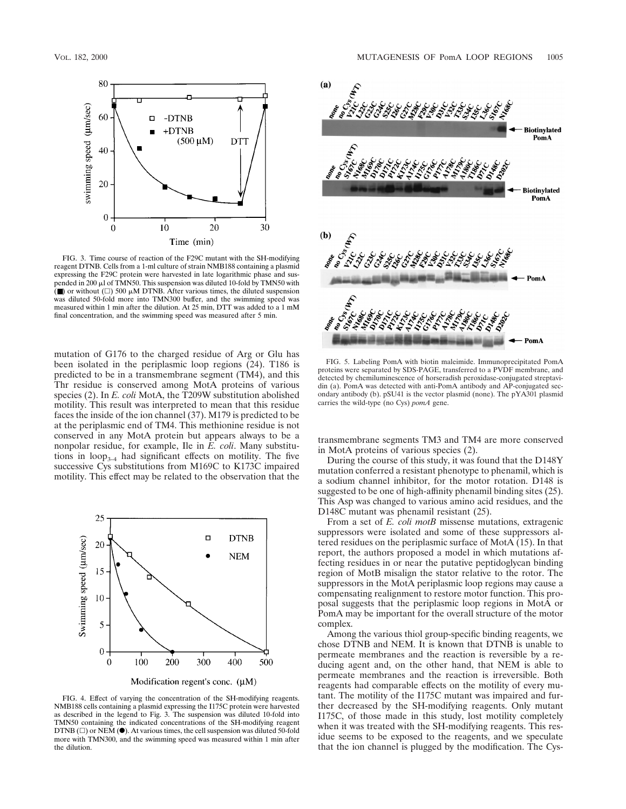

FIG. 3. Time course of reaction of the F29C mutant with the SH-modifying reagent DTNB. Cells from a 1-ml culture of strain NMB188 containing a plasmid expressing the F29C protein were harvested in late logarithmic phase and sus-pended in 200 ml of TMN50. This suspension was diluted 10-fold by TMN50 with ( $\blacksquare$ ) or without ( $\Box$ ) 500  $\mu$ M DTNB. After various times, the diluted suspension was diluted 50-fold more into TMN300 buffer, and the swimming speed was measured within 1 min after the dilution. At 25 min, DTT was added to a 1 mM final concentration, and the swimming speed was measured after 5 min.

mutation of G176 to the charged residue of Arg or Glu has been isolated in the periplasmic loop regions (24). T186 is predicted to be in a transmembrane segment (TM4), and this Thr residue is conserved among MotA proteins of various species (2). In *E. coli* MotA, the T209W substitution abolished motility. This result was interpreted to mean that this residue faces the inside of the ion channel (37). M179 is predicted to be at the periplasmic end of TM4. This methionine residue is not conserved in any MotA protein but appears always to be a nonpolar residue, for example, Ile in *E. coli*. Many substitutions in  $loop_{3-4}$  had significant effects on motility. The five successive Cys substitutions from M169C to K173C impaired motility. This effect may be related to the observation that the



FIG. 4. Effect of varying the concentration of the SH-modifying reagents. NMB188 cells containing a plasmid expressing the I175C protein were harvested as described in the legend to Fig. 3. The suspension was diluted 10-fold into TMN50 containing the indicated concentrations of the SH-modifying reagent DTNB ( $\Box$ ) or NEM ( $\bullet$ ). At various times, the cell suspension was diluted 50-fold more with TMN300, and the swimming speed was measured within 1 min after the dilution.



FIG. 5. Labeling PomA with biotin maleimide. Immunoprecipitated PomA proteins were separated by SDS-PAGE, transferred to a PVDF membrane, and detected by chemiluminescence of horseradish peroxidase-conjugated streptavidin (a). PomA was detected with anti-PomA antibody and AP-conjugated secondary antibody (b). pSU41 is the vector plasmid (none). The pYA301 plasmid carries the wild-type (no Cys) *pomA* gene.

transmembrane segments TM3 and TM4 are more conserved in MotA proteins of various species (2).

During the course of this study, it was found that the D148Y mutation conferred a resistant phenotype to phenamil, which is a sodium channel inhibitor, for the motor rotation. D148 is suggested to be one of high-affinity phenamil binding sites (25). This Asp was changed to various amino acid residues, and the D148C mutant was phenamil resistant (25).

From a set of *E. coli motB* missense mutations, extragenic suppressors were isolated and some of these suppressors altered residues on the periplasmic surface of MotA (15). In that report, the authors proposed a model in which mutations affecting residues in or near the putative peptidoglycan binding region of MotB misalign the stator relative to the rotor. The suppressors in the MotA periplasmic loop regions may cause a compensating realignment to restore motor function. This proposal suggests that the periplasmic loop regions in MotA or PomA may be important for the overall structure of the motor complex.

Among the various thiol group-specific binding reagents, we chose DTNB and NEM. It is known that DTNB is unable to permeate membranes and the reaction is reversible by a reducing agent and, on the other hand, that NEM is able to permeate membranes and the reaction is irreversible. Both reagents had comparable effects on the motility of every mutant. The motility of the I175C mutant was impaired and further decreased by the SH-modifying reagents. Only mutant I175C, of those made in this study, lost motility completely when it was treated with the SH-modifying reagents. This residue seems to be exposed to the reagents, and we speculate that the ion channel is plugged by the modification. The Cys-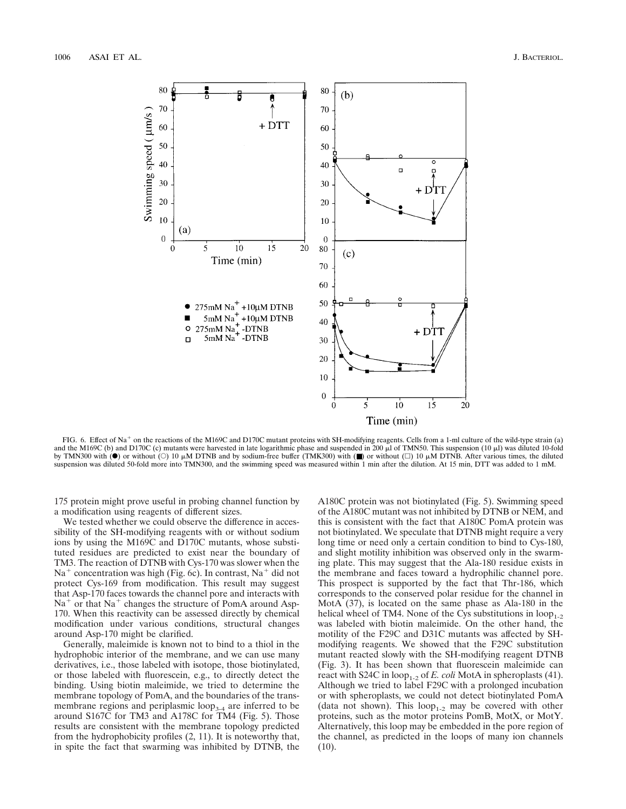

FIG. 6. Effect of Na<sup>+</sup> on the reactions of the M169C and D170C mutant proteins with SH-modifying reagents. Cells from a 1-ml culture of the wild-type strain (a) and the M169C (b) and D170C (c) mutants were harvested in late logarithmic phase and suspended in 200  $\mu$ l of TMN50. This suspension (10  $\mu$ l) was diluted 10-fold by TMN300 with ( $\bullet$ ) or without ( $\circ$ ) 10  $\mu$ M DTNB and by sodium-free buffer (TMK300) with ( $\blacksquare$ ) or without ( $\Box$ ) 10  $\mu$ M DTNB. After various times, the diluted suspension was diluted 50-fold more into TMN300, and the swimming speed was measured within 1 min after the dilution. At 15 min, DTT was added to 1 mM.

175 protein might prove useful in probing channel function by a modification using reagents of different sizes.

We tested whether we could observe the difference in accessibility of the SH-modifying reagents with or without sodium ions by using the M169C and D170C mutants, whose substituted residues are predicted to exist near the boundary of TM3. The reaction of DTNB with Cys-170 was slower when the  $Na<sup>+</sup>$  concentration was high (Fig. 6c). In contrast,  $Na<sup>+</sup>$  did not protect Cys-169 from modification. This result may suggest that Asp-170 faces towards the channel pore and interacts with  $Na<sup>+</sup>$  or that  $Na<sup>+</sup>$  changes the structure of PomA around Asp-170. When this reactivity can be assessed directly by chemical modification under various conditions, structural changes around Asp-170 might be clarified.

Generally, maleimide is known not to bind to a thiol in the hydrophobic interior of the membrane, and we can use many derivatives, i.e., those labeled with isotope, those biotinylated, or those labeled with fluorescein, e.g., to directly detect the binding. Using biotin maleimide, we tried to determine the membrane topology of PomA, and the boundaries of the transmembrane regions and periplasmic  $loop_{3-4}$  are inferred to be around S167C for TM3 and A178C for TM4 (Fig. 5). Those results are consistent with the membrane topology predicted from the hydrophobicity profiles (2, 11). It is noteworthy that, in spite the fact that swarming was inhibited by DTNB, the A180C protein was not biotinylated (Fig. 5). Swimming speed of the A180C mutant was not inhibited by DTNB or NEM, and this is consistent with the fact that A180C PomA protein was not biotinylated. We speculate that DTNB might require a very long time or need only a certain condition to bind to Cys-180, and slight motility inhibition was observed only in the swarming plate. This may suggest that the Ala-180 residue exists in the membrane and faces toward a hydrophilic channel pore. This prospect is supported by the fact that Thr-186, which corresponds to the conserved polar residue for the channel in MotA (37), is located on the same phase as Ala-180 in the helical wheel of TM4. None of the Cys substitutions in  $loop_{1-2}$ was labeled with biotin maleimide. On the other hand, the motility of the F29C and D31C mutants was affected by SHmodifying reagents. We showed that the F29C substitution mutant reacted slowly with the SH-modifying reagent DTNB (Fig. 3). It has been shown that fluorescein maleimide can react with S24C in loop<sub>1-2</sub> of *E. coli* MotA in spheroplasts (41). Although we tried to label F29C with a prolonged incubation or with spheroplasts, we could not detect biotinylated PomA (data not shown). This  $loop_{1-2}$  may be covered with other proteins, such as the motor proteins PomB, MotX, or MotY. Alternatively, this loop may be embedded in the pore region of the channel, as predicted in the loops of many ion channels  $(10).$